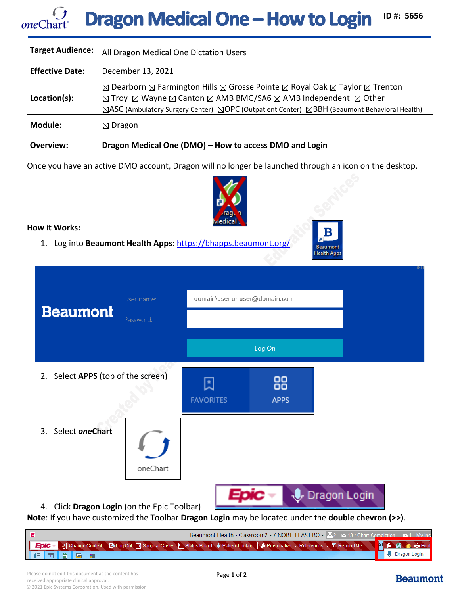## **Dragon Medical One - How to Login ID #: 5656** *one*Chart

| Overview:               | Dragon Medical One (DMO) - How to access DMO and Login                                                                                                                                                                                                                                                                                      |
|-------------------------|---------------------------------------------------------------------------------------------------------------------------------------------------------------------------------------------------------------------------------------------------------------------------------------------------------------------------------------------|
| Module:                 | $\boxtimes$ Dragon                                                                                                                                                                                                                                                                                                                          |
| Location(s):            | ⊠ Dearborn ⊠ Farmington Hills ⊠ Grosse Pointe ⊠ Royal Oak ⊠ Taylor ⊠ Trenton<br>$\boxtimes$ Troy $\boxtimes$ Wayne $\boxtimes$ Canton $\boxtimes$ AMB BMG/SA6 $\boxtimes$ AMB Independent $\boxtimes$ Other<br>$\boxtimes$ ASC (Ambulatory Surgery Center) $\boxtimes$ OPC (Outpatient Center) $\boxtimes$ BBH (Beaumont Behavioral Health) |
| <b>Effective Date:</b>  | December 13, 2021                                                                                                                                                                                                                                                                                                                           |
| <b>Target Audience:</b> | All Dragon Medical One Dictation Users                                                                                                                                                                                                                                                                                                      |

Once you have an active DMO account, Dragon will no longer be launched through an icon on the desktop.



Beaumont **Health Apps** 

## **How it Works:**

1. Log into **Beaumont Health Apps**:<https://bhapps.beaumont.org/>

| User name:<br><b>Beaumont</b><br>Password:     | domain\user or user@domain.com |                   |                 |
|------------------------------------------------|--------------------------------|-------------------|-----------------|
|                                                |                                | Log On            |                 |
| Select APPS (top of the screen)<br>2.          | <b>FAVORITES</b>               | 88<br><b>APPS</b> |                 |
| Select oneChart<br>3.<br>oneChart              |                                |                   |                 |
| Click Dragon Login (on the Epic Toolbar)<br>4. |                                |                   | U. Dragon Login |

**Note**: If you have customized the Toolbar **Dragon Login** may be located under the **double chevron (>>)**.

| <b>Beaumont Health - Classroom 2 - 7 NORTH EAST RO - <math>\Box</math> 2 <math>\Box</math> 13 : Chart Completion <math>\Box</math> 1 : My Inco</b> |             |  |  |  |                                                                                                                                    |  |                        |
|----------------------------------------------------------------------------------------------------------------------------------------------------|-------------|--|--|--|------------------------------------------------------------------------------------------------------------------------------------|--|------------------------|
|                                                                                                                                                    |             |  |  |  | LEDIC > 8] Change Context El>Log Out El Surgical Cases El Status Board : Patient Lookup   D Personalize > References > Y Remind Me |  | <b>I</b> A @ a B Print |
|                                                                                                                                                    | ▌ê▌圆▌ᅘ▐▉▌▆▏ |  |  |  |                                                                                                                                    |  | <b>U</b> Dragon Login  |